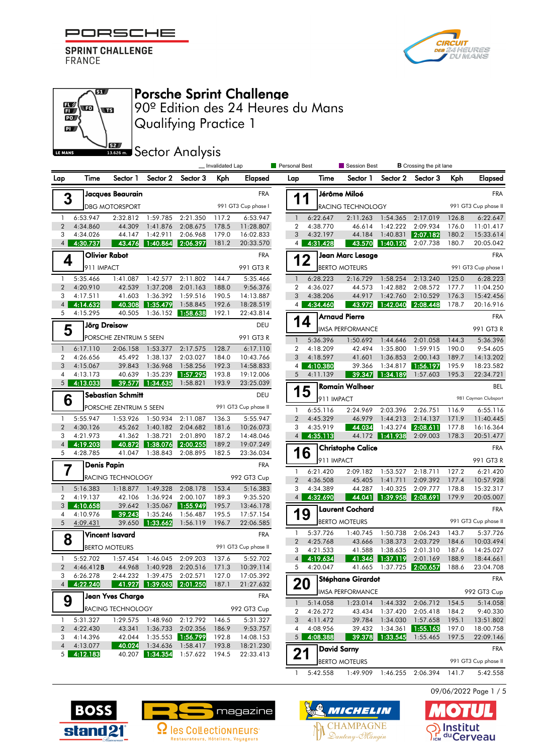

 $\overline{\mathbf{u}}$ 

 $\overline{\mathbf{w}}$ 

**S2** 

 $\mathbb{E}\left($  to

 $\overline{\mathbb{D}}$  $\mathbf{p}$ 

LE MANS



# Porsche Sprint Challenge

Qualifying Practice 1 90º Edition des 24 Heures du Mans

**SECOLOGY Analysis** 

|                     |                               |                          |                      |                      | _ Invalidated Lap |                                          | <b>Personal Best</b> |            | Session Best             |                   | <b>B</b> Crossing the pit lane |          |                      |  |  |
|---------------------|-------------------------------|--------------------------|----------------------|----------------------|-------------------|------------------------------------------|----------------------|------------|--------------------------|-------------------|--------------------------------|----------|----------------------|--|--|
| Lap                 | Time                          | Sector 1                 | Sector 2             | Sector 3             | Kph               | Elapsed                                  | Lap                  | Time       | Sector 1                 | Sector 2          | Sector 3                       | Kph      | <b>Elapsed</b>       |  |  |
|                     |                               | Jacques Beaurain         |                      |                      |                   | <b>FRA</b>                               |                      |            | Jérôme Miloé             |                   |                                |          | <b>FRA</b>           |  |  |
| 3                   |                               | <b>DBG MOTORSPORT</b>    |                      |                      |                   | 991 GT3 Cup phase I                      | 1                    | 1          | RACING TECHNOLOGY        |                   |                                |          | 991 GT3 Cup phase II |  |  |
| $\mathbf{1}$        | 6:53.947                      | 2:32.812                 | 1:59.785             | 2:21.350             | 117.2             | 6:53.947                                 | $\mathbf{1}$         | 6:22.647   | 2:11.263                 | 1:54.365          | 2:17.019                       | 126.8    | 6:22.647             |  |  |
| $\overline{2}$      | 4:34.860                      | 44.309                   | 1:41.876             | 2:08.675             | 178.5             | 11:28.807                                | $\overline{2}$       | 4:38.770   | 46.614                   | 1:42.222          | 2:09.934                       | 176.0    | 11:01.417            |  |  |
| 3                   | 4:34.026                      | 44.147                   | 1:42.911             | 2:06.968             | 179.0             | 16:02.833                                | 3                    | 4:32.197   | 44.184                   | 1:40.831          | 2:07.182                       | 180.2    | 15:33.614            |  |  |
| $\overline{4}$      | 4:30.737                      | 43.476                   | 1:40.864             | 2:06.397             | 181.2             | 20:33.570                                | 4                    | 4:31.428   | 43.570                   | 1:40.120          | 2:07.738                       | 180.7    | 20:05.042            |  |  |
| 4                   | <b>Olivier Rabot</b>          |                          |                      |                      |                   | <b>FRA</b>                               | 12                   |            | Jean Marc Lesage         |                   |                                |          | <b>FRA</b>           |  |  |
|                     | 911 IMPACT                    |                          |                      |                      |                   | 991 GT3 R                                |                      |            | <b>BERTO MOTEURS</b>     |                   |                                |          | 991 GT3 Cup phase I  |  |  |
| $\mathbf{1}$        | 5:35.466                      | 1:41.087                 | 1:42.577             | 2:11.802             | 144.7             | 5:35.466                                 | $\mathbf{1}$         | 6:28.223   | 2:16.729                 | 1:58.254          | 2:13.240                       | 125.0    | 6:28.223             |  |  |
| $\overline{2}$      | 4:20.910                      | 42.539                   | 1:37.208             | 2:01.163             | 188.0             | 9:56.376                                 | $\overline{2}$       | 4:36.027   | 44.573                   | 1:42.882          | 2:08.572                       | 177.7    | 11:04.250            |  |  |
| 3                   | 4:17.511                      | 41.603                   | 1:36.392             | 1:59.516             | 190.5             | 14:13.887                                | 3                    | 4:38.206   | 44.917                   | 1:42.760          | 2:10.529                       | 176.3    | 15:42.456            |  |  |
| $\overline{4}$      | 4:14.632                      | 40.308                   | 1:35.479             | 1:58.845             | 192.6             | 18:28.519                                | $\overline{4}$       | 4:34.460   | 43.972                   | 1:42.040          | 2:08.448                       | 178.7    | 20:16.916            |  |  |
| 5                   | 4:15.295                      | 40.505                   | 1:36.152             | 1:58.638             | 192.1             | 22:43.814                                |                      |            | <b>Arnaud Pierre</b>     |                   |                                |          | <b>FRA</b>           |  |  |
| 5                   | Jörg Dreisow                  |                          |                      |                      |                   | 14<br>DEU<br><b>IMSA PERFORMANCE</b>     |                      |            |                          |                   |                                | 991 GT3R |                      |  |  |
|                     |                               | PORSCHE ZENTRUM 5 SEEN   |                      |                      |                   | 991 GT3 R                                | $\mathbf{1}$         | 5:36.396   | 1:50.692                 | 1:44.646          | 2:01.058                       | 144.3    | 5:36.396             |  |  |
| $\mathbf{1}$        | 6:17.110                      | 2:06.158                 | 1:53.377             | 2:17.575             | 128.7             | 6:17.110                                 | $\overline{2}$       | 4:18.209   | 42.494                   | 1:35.800          | 1:59.915                       | 190.0    | 9:54.605             |  |  |
| 2                   | 4:26.656                      | 45.492                   | 1:38.137             | 2:03.027             | 184.0             | 10:43.766                                | 3                    | 4:18.597   | 41.601                   | 1:36.853          | 2:00.143                       | 189.7    | 14:13.202            |  |  |
| 3                   | 4:15.067                      | 39.843                   | 1:36.968             | 1:58.256             | 192.3             | 14:58.833                                | $\overline{4}$       | 4:10.380   | 39.366                   | 1:34.817          | 1:56.197                       | 195.9    | 18:23.582            |  |  |
| 4<br>5              | 4:13.173<br>4:13.033          | 40.639<br>39.577         | 1:35.239<br>1:34.635 | 1:57.295<br>1:58.821 | 193.8<br>193.9    | 19:12.006                                | 5                    | 4:11.139   | 39.347                   | 1:34.189          | 1:57.603                       | 195.3    | 22:34.721            |  |  |
|                     |                               |                          |                      |                      |                   | 23:25.039                                | 15                   |            | <b>Romain Walheer</b>    |                   |                                |          | <b>BEL</b>           |  |  |
|                     | <b>Sebastian Schmitt</b><br>6 |                          |                      |                      |                   | DEU                                      |                      | 911 IMPACT |                          |                   |                                |          | 981 Cayman Clubsport |  |  |
|                     |                               | PORSCHE ZENTRUM 5 SEEN   |                      |                      |                   | 991 GT3 Cup phase II                     | $\mathbf{1}$         | 6:55.116   | 2:24.969                 | 2:03.396          | 2:26.751                       | 116.9    | 6:55.116             |  |  |
| $\mathbf{1}$        | 5:55.947                      | 1:53.926                 | 1:50.934             | 2:11.087             | 136.3             | 5:55.947                                 | $\overline{2}$       | 4:45.329   | 46.979                   | 1:44.213          | 2:14.137                       | 171.9    | 11:40.445            |  |  |
| $\overline{2}$      | 4:30.126                      | 45.262                   | 1:40.182             | 2:04.682             | 181.6             | 10:26.073                                | 3                    | 4:35.919   | 44.034                   | 1:43.274          | 2:08.611                       | 177.8    | 16:16.364            |  |  |
| 3                   | 4:21.973                      | 41.362                   | 1:38.721             | 2:01.890             | 187.2             | 14:48.046                                | 4 <sup>1</sup>       | 4:35.113   | 44.172                   | 1:41.938          | 2:09.003                       | 178.3    | 20:51.477            |  |  |
| $\overline{4}$<br>5 | 4:19.203<br>4:28.785          | 40.872<br>41.047         | 1:38.076<br>1:38.843 | 2:00.255<br>2:08.895 | 189.2<br>182.5    | 19:07.249<br>23:36.034                   | 16                   |            | <b>Christophe Calice</b> |                   |                                |          | <b>FRA</b>           |  |  |
|                     |                               |                          |                      |                      |                   |                                          |                      | 911 IMPACT |                          |                   |                                |          | 991 GT3 R            |  |  |
| 7                   | <b>Denis Papin</b>            |                          |                      |                      |                   | <b>FRA</b>                               | 1                    | 6:21.420   | 2:09.182                 | 1:53.527          | 2:18.711                       | 127.2    | 6:21.420             |  |  |
|                     |                               | <b>RACING TECHNOLOGY</b> |                      |                      |                   | 992 GT3 Cup                              | $\overline{2}$       | 4:36.508   | 45.405                   | 1:41.711          | 2:09.392                       | 177.4    | 10:57.928            |  |  |
| $\mathbf{1}$        | 5:16.383                      | 1:18.877                 | 1:49.328             | 2:08.178             | 153.4             | 5:16.383                                 | 3                    | 4:34.389   | 44.287                   | 1:40.325          | 2:09.777                       | 178.8    | 15:32.317            |  |  |
| 2                   | 4:19.137                      | 42.106                   | 1:36.924             | 2:00.107             | 189.3             | 9:35.520                                 | $\overline{4}$       | 4:32.690   | 44.041                   | 1:39.958          | 2:08.691                       | 179.9    | 20:05.007            |  |  |
| 3                   | 4:10.658                      | 39.642                   | 1:35.067             | 1:55.949             | 195.7             | 13:46.178                                |                      |            | <b>Laurent Cochard</b>   |                   |                                |          | <b>FRA</b>           |  |  |
| 4<br>5              | 4:10.976<br>4:09.431          | 39.243<br>39.650         | 1:35.246<br>1:33.662 | 1:56.487<br>1:56.119 | 195.5<br>196.7    | 17:57.154<br>22:06.585                   | 1                    | 9          | <b>BERTO MOTEURS</b>     |                   |                                |          | 991 GT3 Cup phase II |  |  |
|                     |                               |                          |                      |                      |                   |                                          | $\mathbf{1}$         | 5:37.726   | 1:40.745                 | 1:50.738          | 2:06.243                       | 143.7    | 5:37.726             |  |  |
| 8                   |                               | <b>Vincent Isavard</b>   |                      |                      |                   | <b>FRA</b>                               | 2                    | 4:25.768   | 43.666                   | 1:38.373          | 2:03.729                       | 184.6    | 10:03.494            |  |  |
|                     |                               | <b>BERTO MOTEURS</b>     |                      |                      |                   | 991 GT3 Cup phase II                     | 3                    | 4:21.533   | 41.588                   | 1:38.635          | 2:01.310                       | 187.6    | 14:25.027            |  |  |
| $\mathbf{1}$        | 5:52.702                      | 1:57.454                 | 1:46.045 2:09.203    |                      | 137.6             | 5:52.702                                 | 4 <sup>1</sup>       | 4:19.634   |                          | 41.346 1:37.119   | 2:01.169                       | 188.9    | 18:44.661            |  |  |
|                     | 2 $4:46.412B$                 |                          |                      |                      |                   | 44.968 1:40.928 2:20.516 171.3 10:39.114 |                      | 4:20.047   |                          |                   | 41.665 1:37.725 2:00.657       | 188.6    | 23:04.708            |  |  |
| 3                   | 6:26.278                      | 2:44.232                 | 1:39.475 2:02.571    |                      | 127.0             | 17:05.392                                |                      |            | Stéphane Girardot        |                   |                                |          | FRA                  |  |  |
| 4 <sup>1</sup>      | 4:22.240                      | 41.927                   | 1:39.063             | 2:01.250             | 187.1             | 21:27.632                                | 20                   |            | <b>IMSA PERFORMANCE</b>  |                   |                                |          | 992 GT3 Cup          |  |  |
| 9                   |                               | <b>Jean Yves Charge</b>  |                      |                      |                   | <b>FRA</b>                               | $\mathbf{1}$         | 5:14.058   |                          | 1:23.014 1:44.332 | 2:06.712                       | 154.5    | 5:14.058             |  |  |
|                     |                               | RACING TECHNOLOGY        |                      |                      |                   | 992 GT3 Cup                              | 2                    | 4:26.272   |                          | 43.434 1:37.420   | 2:05.418                       | 184.2    | 9:40.330             |  |  |
| $\mathbf{1}$        | 5:31.327                      | 1:29.575                 |                      | 1:48.960 2:12.792    | 146.5             | 5:31.327                                 | 3                    | 4:11.472   | 39.784                   | 1:34.030          | 1:57.658                       | 195.1    | 13:51.802            |  |  |
| $\overline{2}$      | 4:22.430                      | 43.341                   |                      | 1:36.733 2:02.356    | 186.9             | 9:53.757                                 | 4                    | 4:08.956   |                          | 39.432 1:34.361   | 1:55.163                       | 197.0    | 18:00.758            |  |  |
| 3                   | 4:14.396                      | 42.044                   |                      | 1:35.553 1:56.799    | 192.8             | 14:08.153                                | 5 <sup>1</sup>       | 4:08.388   |                          | 39.378 1:33.545   | 1:55.465                       | 197.5    | 22:09.146            |  |  |
| $\overline{4}$      | 4:13.077                      | 40.024                   | 1:34.636             | 1:58.417             | 193.8             | 18:21.230                                |                      |            | <b>David Sarny</b>       |                   |                                |          | <b>FRA</b>           |  |  |
| 5 <sub>1</sub>      | 4:12.183                      |                          | 40.207 1:34.354      | 1:57.622             | 194.5             | 22:33.413                                |                      |            |                          |                   |                                |          |                      |  |  |

**21** BERTO MOTEURS **2008 12 PMS** 991 GT3 Cup phase II 1 5:42.558 1:49.909 1:46.255 2:06.394 141.7 5:42.558

09/06/2022 Page 1 / 5







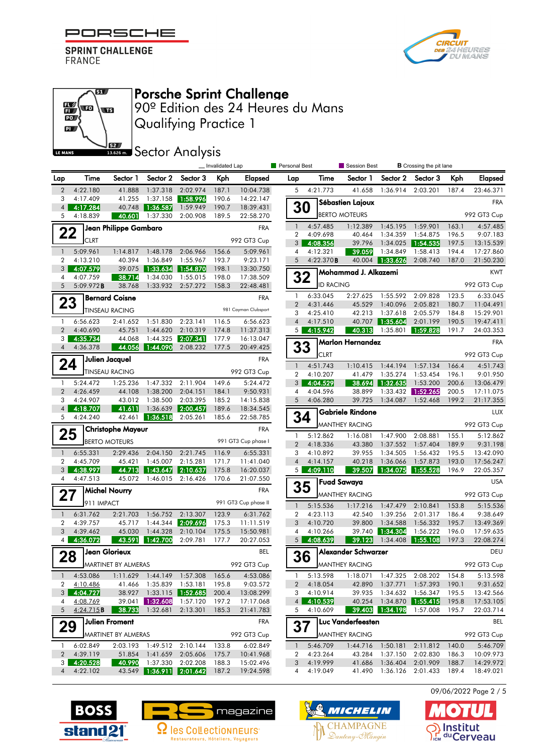



### எ  $\mathbb{E}\left( \mathbf{r}\right)$ Œ  $\overline{\mathbf{D}}$  $\mathbf{p}$ **S2** LE MANS

# Porsche Sprint Challenge

Qualifying Practice 1 90º Edition des 24 Heures du Mans

### **SECTOR Analysis**

|                              |                      |                          |                               |                            | _ Invalidated Lap |                        | Personal Best  |                    | Session Best            |                 | <b>B</b> Crossing the pit lane |       |             |
|------------------------------|----------------------|--------------------------|-------------------------------|----------------------------|-------------------|------------------------|----------------|--------------------|-------------------------|-----------------|--------------------------------|-------|-------------|
| Lap                          | Time                 | Sector 1                 | Sector 2                      | Sector 3                   | Kph               | <b>Elapsed</b>         | Lap            | Time               | Sector 1                | Sector 2        | Sector 3                       | Kph   | Elapsed     |
| $\overline{2}$               | 4:22.180             | 41.888                   | 1:37.318                      | 2:02.974                   | 187.1             | 10:04.738              | 5              | 4:21.773           | 41.658                  | 1:36.914        | 2:03.201                       | 187.4 | 23:46.371   |
| 3                            | 4:17.409             | 41.255                   | 1:37.158                      | 1:58.996                   | 190.6             | 14:22.147              |                |                    | Sébastien Lajoux        |                 |                                |       | <b>FRA</b>  |
| $\overline{4}$<br>5          | 4:17.284<br>4:18.839 | 40.748<br>40.601         | 1:36.587 <br>1:37.330         | 1:59.949<br>2:00.908       | 190.7<br>189.5    | 18:39.431<br>22:58.270 | 30             |                    | <b>BERTO MOTEURS</b>    |                 |                                |       | 992 GT3 Cup |
|                              |                      | Jean Philippe Gambaro    |                               |                            |                   | <b>FRA</b>             | $\mathbf{1}$   | 4:57.485           | 1:12.389                | 1:45.195        | 1:59.901                       | 163.1 | 4:57.485    |
| 22                           |                      |                          |                               |                            |                   |                        | 2              | 4:09.698           | 40.464                  | 1:34.359        | 1:54.875                       | 196.5 | 9:07.183    |
|                              | <b>CLRT</b>          |                          |                               |                            |                   | 992 GT3 Cup            |                | $3 \quad 4:08.356$ | 39.796                  | 1:34.025        | 1:54.535                       | 197.5 | 13:15.539   |
| $\overline{\phantom{a}}$     | 5:09.961             | 1:14.817                 | 1:48.178                      | 2:06.966                   | 156.6             | 5:09.961               | 4              | 4:12.321           | 39.059                  | 1:34.849        | 1:58.413                       | 194.4 | 17:27.860   |
| $\overline{2}$               | 4:13.210             | 40.394                   | 1:36.849                      | 1:55.967                   | 193.7             | 9:23.171               | 5              | 4:22.370B          |                         | 40.004 1:33.626 | 2:08.740                       | 187.0 | 21:50.230   |
| 3<br>4                       | 4:07.579<br>4:07.759 | 39.075                   | 1:33.634 1:54.870<br>1:34.030 |                            | 198.1             | 13:30.750              | 32             |                    | Mohammad J. Alkazemi    |                 |                                |       | <b>KWT</b>  |
| 5                            | 5:09.972B            | 38.714<br>38.768         | 1:33.932                      | 1:55.015<br>2:57.272       | 198.0<br>158.3    | 17:38.509<br>22:48.481 |                | <b>ID RACING</b>   |                         |                 |                                |       | 992 GT3 Cup |
|                              |                      | <b>Bernard Coisne</b>    |                               |                            |                   | <b>FRA</b>             | $\mathbf{1}$   | 6:33.045           | 2:27.625                | 1:55.592        | 2:09.828                       | 123.5 | 6:33.045    |
| 23                           |                      |                          |                               |                            |                   | 981 Cayman Clubsport   | $\overline{2}$ | 4:31.446           | 45.529                  | 1:40.096        | 2:05.821                       | 180.7 | 11:04.491   |
|                              |                      | <b>TINSEAU RACING</b>    |                               |                            |                   |                        | 3              | 4:25.410           | 42.213                  | 1:37.618        | 2:05.579                       | 184.8 | 15:29.901   |
| $\mathbf{1}$                 | 6:56.623             | 2:41.652                 | 1:51.830                      | 2:23.141                   | 116.5             | 6:56.623               | $\overline{4}$ | 4:17.510           | 40.707                  | 1:35.604        | 2:01.199                       | 190.5 | 19:47.411   |
| $\overline{2}$               | 4:40.690             | 45.751                   | 1:44.620                      | 2:10.319                   | 174.8             | 11:37.313              | 5 <sub>1</sub> | 4:15.942           | 40.313                  | 1:35.801        | 1:59.828                       | 191.7 | 24:03.353   |
| 3<br>$\overline{\mathbf{4}}$ | 4:35.734<br>4:36.378 | 44.068<br>44.056         | 1:44.325<br>1:44.090          | 2:07.341<br>2:08.232       | 177.9<br>177.5    | 16:13.047              | 33             |                    | Marlon Hernandez        |                 |                                |       | <b>FRA</b>  |
|                              |                      |                          |                               |                            |                   | 20:49.425              |                | <b>CLRT</b>        |                         |                 |                                |       | 992 GT3 Cup |
| 24                           |                      | Julien Jacquel           |                               |                            |                   | <b>FRA</b>             | $\mathbf{1}$   | 4:51.743           | 1:10.415                | 1:44.194        | 1:57.134                       | 166.4 | 4:51.743    |
|                              |                      | <b>TINSEAU RACING</b>    |                               |                            |                   | 992 GT3 Cup            | $\overline{2}$ | 4:10.207           | 41.479                  | 1:35.274        | 1:53.454                       | 196.1 | 9:01.950    |
| $\mathbf{1}$                 | 5:24.472             | 1:25.236                 | 1:47.332                      | 2:11.904                   | 149.6             | 5:24.472               | 3 <sup>1</sup> | 4:04.529           | 38.694                  | 1:32.635        | 1:53.200                       | 200.6 | 13:06.479   |
| $\overline{2}$               | 4:26.459             | 44.108                   | 1:38.200                      | 2:04.151                   | 184.1             | 9:50.931               | 4              | 4:04.596           | 38.899                  |                 | 1:33.432 1:52.265              | 200.5 | 17:11.075   |
| 3                            | 4:24.907             | 43.012                   | 1:38.500                      | 2:03.395                   | 185.2             | 14:15.838              | 5              | 4:06.280           | 39.725                  | 1:34.087        | 1:52.468                       | 199.2 | 21:17.355   |
| $\overline{4}$               | 4:18.707             | 41.611                   | 1:36.639                      | 2:00.457                   | 189.6             | 18:34.545              |                |                    | <b>Gabriele Rindone</b> |                 |                                |       | LUX         |
| 5                            | 4:24.240             | 42.461                   | 1:36.518                      | 2:05.261                   | 185.6             | 22:58.785              |                | 34                 | <b>MANTHEY RACING</b>   |                 |                                |       | 992 GT3 Cup |
| 25                           |                      | <b>Christophe Mayeur</b> |                               |                            |                   | <b>FRA</b>             | 1              | 5:12.862           | 1:16.081                | 1:47.900        | 2:08.881                       | 155.1 | 5:12.862    |
|                              |                      | <b>BERTO MOTEURS</b>     |                               |                            |                   | 991 GT3 Cup phase I    | $\overline{2}$ | 4:18.336           | 43.380                  | 1:37.552        | 1:57.404                       | 189.9 | 9:31.198    |
| $\mathbf{1}$                 | 6:55.331             | 2:29.436                 | 2:04.150                      | 2:21.745                   | 116.9             | 6:55.331               | 3              | 4:10.892           | 39.955                  | 1:34.505        | 1:56.432                       | 195.5 | 13:42.090   |
| $\overline{2}$               | 4:45.709             | 45.421                   | 1:45.007                      | 2:15.281                   | 171.7             | 11:41.040              | $\overline{4}$ | 4:14.157           | 40.218                  | 1:36.066        | 1:57.873                       | 193.0 | 17:56.247   |
| 3                            | 4:38.997             | 44.713                   | 1:43.647                      | 2:10.637                   | 175.8             | 16:20.037              | 5 <sup>1</sup> | 4:09.110           | 39.507                  | 1:34.075        | 1:55.528                       | 196.9 | 22:05.357   |
| 4                            | 4:47.513             | 45.072                   | 1:46.015                      | 2:16.426                   | 170.6             | 21:07.550              |                |                    | <b>Fuad Sawaya</b>      |                 |                                |       | <b>USA</b>  |
| 27                           |                      | <b>Michel Nourry</b>     |                               |                            |                   | <b>FRA</b>             | 35             |                    | <b>MANTHEY RACING</b>   |                 |                                |       | 992 GT3 Cup |
|                              | 911 IMPACT           |                          |                               |                            |                   | 991 GT3 Cup phase II   | $\mathbf{1}$   | 5:15.536           | 1:17.216                | 1:47.479        | 2:10.841                       | 153.8 | 5:15.536    |
| $\overline{1}$               | 6:31.762             | 2:21.703                 |                               | 1:56.752 2:13.307          | 123.9             | 6:31.762               | $\overline{2}$ | 4:23.113           | 42.540                  | 1:39.256        | 2:01.317                       | 186.4 | 9:38.649    |
| 2                            | 4:39.757             | 45.717                   |                               | 1:44.344 2:09.696          | 175.3             | 11:11.519              | 3              | 4:10.720           | 39.800                  | 1:34.588        | 1:56.332                       | 195.7 | 13:49.369   |
| 3                            | 4:39.462             | 45.030                   | 1:44.328                      | 2:10.104                   | 175.5             | 15:50.981              | 4              | 4:10.266           | 39.740                  | 1:34.304        | 1:56.222                       | 196.0 | 17:59.635   |
| 4                            | 4:36.072             | 43.591                   | 1:42.700                      | 2:09.781                   | 177.7             | 20:27.053              | 5 <sup>1</sup> | 4:08.639           | 39.123                  | 1:34.408        | 1:55.108                       | 197.3 | 22:08.274   |
| 28                           |                      | Jean Glorieux            |                               |                            |                   | BEL                    |                | 36                 | Alexander Schwarzer     |                 |                                |       | DEU         |
|                              |                      | MARTINET BY ALMERAS      |                               |                            |                   | 992 GT3 Cup            |                |                    | MANTHEY RACING          |                 |                                |       | 992 GT3 Cup |
|                              | 1 4:53.086           |                          | 1:11.629 1:44.149 1:57.308    |                            | 165.6             | 4:53.086               |                | 1 5:13.598         |                         |                 | 1:18.071  1:47.325  2:08.202   | 154.8 | 5:13.598    |
| 2                            | 4:10.486             | 41.466                   | 1:35.839                      | 1:53.181                   | 195.8             | 9:03.572               |                | 2 4:18.054         | 42.890                  | 1:37.771        | 1:57.393                       | 190.1 | 9:31.652    |
| 3                            | 4:04.727             |                          | 38.927 1:33.115 1:52.685      |                            | 200.4             | 13:08.299              |                | 3, 4:10.914        |                         | 39.935 1:34.632 | 1:56.347                       | 195.5 | 13:42.566   |
| 4                            | 4:08.769             |                          | 39.041   1:32.608             | 1:57.120                   | 197.2             | 17:17.068              |                | 4 4:10.539         | 40.254                  |                 | 1:34.870 <b>1:55.415</b>       | 195.8 | 17:53.105   |
| 5 <sup>5</sup>               | 4:24.715 <b>B</b>    | 38.733                   | 1:32.681                      | 2:13.301                   | 185.3             | 21:41.783              | 5              | 4:10.609           | 39.403                  | 1:34.198        | 1:57.008                       | 195.7 | 22:03.714   |
| 29                           |                      | <b>Julien Froment</b>    |                               |                            |                   | FRA                    | 37             |                    | Luc Vanderfeesten       |                 |                                |       | <b>BEL</b>  |
|                              |                      | MARTINET BY ALMERAS      |                               |                            |                   | 992 GT3 Cup            |                |                    | <b>MANTHEY RACING</b>   |                 |                                |       | 992 GT3 Cup |
| $\mathbf{1}$                 | 6:02.849             |                          |                               | 2:03.193 1:49.512 2:10.144 | 133.8             | 6:02.849               | $\mathbf{1}$   | 5:46.709           |                         |                 | 1:44.716 1:50.181 2:11.812     | 140.0 | 5:46.709    |
|                              | 2 4:39.119           |                          | 51.854 1:41.659               | 2:05.606                   | 175.7             | 10:41.968              | $\mathbf{2}$   | 4:23.264           |                         | 43.284 1:37.150 | 2:02.830                       | 186.3 | 10:09.973   |
| 3 <sup>1</sup>               | 4:20.528             | 40.990                   |                               | 1:37.330 2:02.208          | 188.3             | 15:02.496              |                | 3 4:19.999         |                         |                 | 41.686 1:36.404 2:01.909       | 188.7 | 14:29.972   |
|                              | 4 4:22.102           |                          |                               | 43.549 1:36.911 2:01.642   |                   | 187.2 19:24.598        |                | 4 4:19.049         |                         |                 | 41.490 1:36.126 2:01.433 189.4 |       | 18:49.021   |



 $\bullet$ 

nstitut S<sub>ICM</sub> du Cerveau





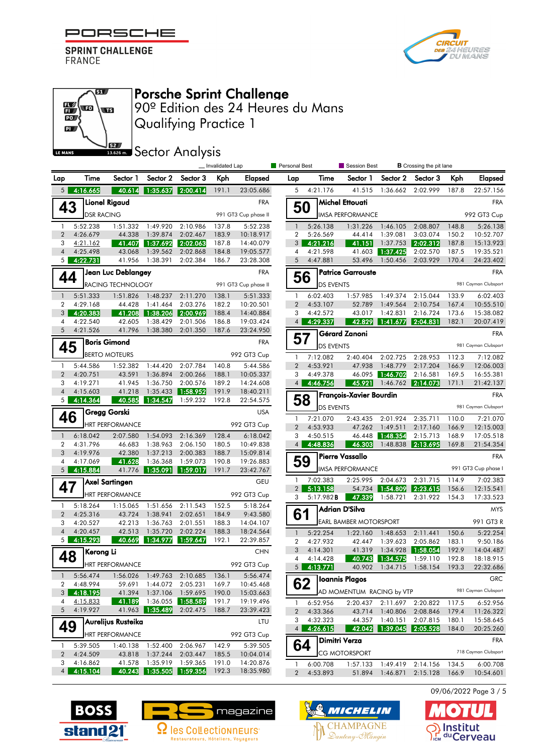



#### எ  $\mathbb{E}\left($  to **ST**  $\overline{\mathbb{D}}$  $\mathbf{p}$ **S2** LE MANS

# Porsche Sprint Challenge

Qualifying Practice 1 90º Edition des 24 Heures du Mans

## **SEZ SECTOR Analysis**

|                                  |                                         |                        |                            |                      | _ Invalidated Lap |                        | <b>Personal Best</b> |                        | Session Best                  |                             | <b>B</b> Crossing the pit lane   |                      |                                          |  |
|----------------------------------|-----------------------------------------|------------------------|----------------------------|----------------------|-------------------|------------------------|----------------------|------------------------|-------------------------------|-----------------------------|----------------------------------|----------------------|------------------------------------------|--|
| Lap                              | Time                                    | Sector 1               | Sector 2                   | Sector 3             | Kph               | Elapsed                | Lap                  | Time                   | Sector 1                      | Sector 2                    | Sector 3                         | Kph                  | Elapsed                                  |  |
| 5 <sub>1</sub>                   | 4:16.665                                | 40.614                 | 1:35.637                   | 2:00.414             | 191.1             | 23:05.686              | 5                    | 4:21.176               | 41.515                        | 1:36.662                    | 2:02.999                         | 187.8                | 22:57.156                                |  |
| 43                               |                                         | <b>Lionel Rigaud</b>   |                            |                      |                   | <b>FRA</b>             |                      | 50                     | Michel Ettouati               |                             |                                  |                      | <b>FRA</b>                               |  |
|                                  | <b>DSR RACING</b>                       |                        |                            |                      |                   | 991 GT3 Cup phase II   |                      |                        | <b>IMSA PERFORMANCE</b>       |                             |                                  |                      | 992 GT3 Cup                              |  |
| $\mathbf{1}$                     | 5:52.238                                | 1:51.332               | 1:49.920                   | 2:10.986             | 137.8             | 5:52.238               | $\mathbf{1}$         | 5:26.138               | 1:31.226                      | 1:46.105                    | 2:08.807                         | 148.8                | 5:26.138                                 |  |
| $\overline{2}$                   | 4:26.679                                | 44.338                 | 1:39.874                   | 2:02.467             | 183.9             | 10:18.917              | 2                    | 5:26.569               | 44.414                        | 1:39.081                    | 3:03.074                         | 150.2                | 10:52.707                                |  |
| 3                                | 4:21.162                                | 41.407                 | 1:37.692                   | 2:02.063             | 187.8             | 14:40.079              | 3 <sup>1</sup>       | 4:21.216               | 41.151                        | 1:37.753                    | 2:02.312                         | 187.8                | 15:13.923                                |  |
| $\overline{4}$<br>5 <sub>1</sub> | 4:25.498<br>4:22.731                    | 43.068<br>41.956       | 1:39.562<br>1:38.391       | 2:02.868<br>2:02.384 | 184.8<br>186.7    | 19:05.577<br>23:28.308 | 4<br>5               | 4:21.598<br>4:47.881   | 53.496                        | 41.603 1:37.425<br>1:50.456 | 2:02.570<br>2:03.929             | 187.5<br>170.4       | 19:35.521<br>24:23.402                   |  |
|                                  |                                         |                        |                            |                      |                   | <b>FRA</b>             |                      |                        | <b>Patrice Garrouste</b>      |                             |                                  |                      | <b>FRA</b>                               |  |
| 44                               | Jean Luc Deblangey<br>RACING TECHNOLOGY |                        |                            |                      |                   | 991 GT3 Cup phase II   |                      | 56<br><b>DS EVENTS</b> |                               |                             |                                  | 981 Cayman Clubsport |                                          |  |
|                                  |                                         |                        |                            |                      |                   |                        |                      |                        |                               |                             |                                  |                      |                                          |  |
| $\overline{1}$<br>2              | 5:51.333<br>4:29.168                    | 1:51.826<br>44.428     | 1:48.237<br>1:41.464       | 2:11.270<br>2:03.276 | 138.1<br>182.2    | 5:51.333<br>10:20.501  | -1<br>2              | 6:02.403<br>4:53.107   | 1:57.985<br>52.789            | 1:49.374<br>1:49.564        | 2:15.044<br>2:10.754             | 133.9<br>167.4       | 6:02.403<br>10:55.510                    |  |
| 3                                | 4:20.383                                | 41.208                 | 1:38.206                   | ▌2:00.969▎           | 188.4             | 14:40.884              | 3                    | 4:42.572               | 43.017                        | 1:42.831                    | 2:16.724                         | 173.6                | 15:38.082                                |  |
| 4                                | 4:22.540                                | 42.605                 | 1:38.429                   | 2:01.506             | 186.8             | 19:03.424              | 4 <sup>1</sup>       | 4:29.337               | 42.829                        | 1:41.677                    | 2:04.831                         | 182.1                | 20:07.419                                |  |
| $\overline{5}$                   | 4:21.526                                | 41.796                 | 1:38.380                   | 2:01.350             | 187.6             | 23:24.950              |                      |                        | Gérard Zanoni                 |                             |                                  |                      | <b>FRA</b>                               |  |
| 45                               |                                         | <b>Boris Gimond</b>    |                            |                      |                   | <b>FRA</b>             | 57                   | <b>DS EVENTS</b>       |                               |                             |                                  |                      | 981 Cayman Clubsport                     |  |
|                                  |                                         | <b>BERTO MOTEURS</b>   |                            |                      |                   | 992 GT3 Cup            | -1                   | 7:12.082               | 2:40.404 2:02.725             |                             | 2:28.953                         | 112.3                | 7:12.082                                 |  |
| $\mathbf{1}$                     | 5:44.586                                | 1:52.382               | 1:44.420                   | 2:07.784             | 140.8             | 5:44.586               | 2                    | 4:53.921               | 47.938                        | 1:48.779                    | 2:17.204                         | 166.9                | 12:06.003                                |  |
| $\overline{2}$                   | 4:20.751                                | 43.591                 | 1:36.894                   | 2:00.266             | 188.1             | 10:05.337              | 3                    | 4:49.378               |                               | 46.095 1:46.702             | 2:16.581                         | 169.5                | 16:55.381                                |  |
| 3                                | 4:19.271                                | 41.945                 | 1:36.750                   | 2:00.576             | 189.2             | 14:24.608              | 4 <sup>1</sup>       | 4:46.756               | 45.921                        | 1:46.762                    | 2:14.073                         | 171.1                | 21:42.137                                |  |
| $\overline{4}$                   | 4:15.603                                | 41.218                 | 1:35.433                   | 1:58.952             | 191.9             | 18:40.211              |                      |                        | François-Xavier Bourdin       |                             |                                  |                      | <b>FRA</b>                               |  |
| 5 <sup>1</sup>                   | 4:14.364                                | 40.585                 | 1:34.547                   | 1:59.232             | 192.8             | 22:54.575              |                      | 58<br><b>DS EVENTS</b> |                               |                             |                                  |                      | 981 Cayman Clubsport                     |  |
| 46                               |                                         | Gregg Gorski           |                            |                      |                   | <b>USA</b>             | -1                   | 7:21.070               | 2:43.435                      | 2:01.924                    | 2:35.711                         | 110.0                | 7:21.070                                 |  |
|                                  |                                         | <b>HRT PERFORMANCE</b> |                            |                      |                   | 992 GT3 Cup            | $\overline{2}$       | 4:53.933               | 47.262                        | 1:49.511                    | 2:17.160                         | 166.9                | 12:15.003                                |  |
| $\overline{1}$                   | 6:18.042                                | 2:07.580               | 1:54.093                   | 2:16.369             | 128.4             | 6:18.042               | 3                    | 4:50.515               |                               | 46.448 1:48.354             | 2:15.713                         | 168.9                | 17:05.518                                |  |
| $\overline{2}$                   | 4:31.796                                | 46.683                 | 1:38.963                   | 2:06.150             | 180.5             | 10:49.838              | 4 <sup>1</sup>       | 4:48.836               | 46.303                        | 1:48.838                    | 2:13.695                         | 169.8                | 21:54.354                                |  |
| 3<br>4                           | 4:19.976<br>4:17.069                    | 42.380<br>41.628       | 1:37.213<br>1:36.368       | 2:00.383<br>1:59.073 | 188.7<br>190.8    | 15:09.814<br>19:26.883 |                      | 59                     | <b>Pierre Vassallo</b>        |                             |                                  |                      | <b>FRA</b>                               |  |
| 5 <sup>1</sup>                   | 4:15.884                                |                        | 41.776 1:35.091            | 1:59.017             | 191.7             | 23:42.767              |                      |                        | <b>IMSA PERFORMANCE</b>       |                             |                                  |                      | 991 GT3 Cup phase I                      |  |
|                                  |                                         | Axel Sartingen         |                            |                      |                   | GEU                    | -1                   | 7:02.383               | 2:25.995                      | 2:04.673                    | 2:31.715                         | 114.9                | 7:02.383                                 |  |
| 47                               |                                         | <b>HRT PERFORMANCE</b> |                            |                      |                   | 992 GT3 Cup            | 2 <sup>1</sup>       | 5:13.158               | 54.734                        | 1:54.809                    | 2:23.615                         | 156.6                | 12:15.541                                |  |
|                                  |                                         |                        |                            |                      |                   |                        | 3                    | $5:17.982$ <b>B</b>    | 47.339                        | 1:58.721                    | 2:31.922                         | 154.3                | 17:33.523                                |  |
| $\mathbf{1}$<br>$\overline{2}$   | 5:18.264<br>4:25.316                    | 1:15.065<br>43.724     | 1:51.656<br>1:38.941       | 2:11.543<br>2:02.651 | 152.5<br>184.9    | 5:18.264<br>9:43.580   | 61                   |                        | Adrian D'Silva                |                             |                                  |                      | <b>MYS</b>                               |  |
| 3                                | 4:20.527                                | 42.213                 | 1:36.763                   | 2:01.551             | 188.3             | 14:04.107              |                      |                        | <b>EARL BAMBER MOTORSPORT</b> |                             |                                  |                      | 991 GT3 R                                |  |
| $\overline{4}$                   | 4:20.457                                | 42.513                 | 1:35.720                   | 2:02.224             | 188.3             | 18:24.564              | $\mathbf{1}$         | 5:22.254               | 1:22.160                      | 1:48.653                    | 2:11.441                         | 150.6                | 5:22.254                                 |  |
| 5 <sub>1</sub>                   | 4:15.293                                | 40.669                 | 1:34.977                   | 1:59.647             | 192.1             | 22:39.857              | $\overline{2}$       | 4:27.932               | 42.447                        | 1:39.623                    | 2:05.862                         | 183.1                | 9:50.186                                 |  |
|                                  | Kerong Li                               |                        |                            |                      |                   | <b>CHN</b>             | 3                    | 4:14.301               | 41.319                        | 1:34.928                    | 1:58.054                         | 192.9                | 14:04.487                                |  |
| 48                               |                                         | HRT PERFORMANCE        |                            |                      |                   | 992 GT3 Cup            | 4                    | 4:14.428               | 40.743                        | 1:34.575                    | 1:59.110                         | 192.8                | 18:18.915                                |  |
| $\mathbf{1}$                     | 5:56.474                                |                        | 1:56.026 1:49.763 2:10.685 |                      | 136.1             | 5:56.474               |                      | $5 \quad 4:13.771$     |                               |                             | 40.902 1:34.715 1:58.154 193.3   |                      | 22:32.686                                |  |
| 2                                | 4:48.994                                | 59.691                 | 1:44.072                   | 2:05.231             | 169.7             | 10:45.468              |                      | 62                     | Ioannis Plagos                |                             |                                  |                      | GRC                                      |  |
|                                  | $3$ 4:18.195                            |                        | 41.394 1:37.106 1:59.695   |                      | 190.0             | 15:03.663              |                      |                        | AD MOMENTUM RACING by VTP     |                             |                                  |                      | 981 Cayman Clubsport                     |  |
| 4                                | 4:15.833                                | 41.189                 |                            |                      | 191.7             | 19:19.496              | $\mathbf{1}$         | 6:52.956               |                               |                             | 2:20.437 2:11.697 2:20.822       | 117.5                | 6:52.956                                 |  |
| 5 <sup>5</sup>                   | 4:19.927                                | 41.963                 | 1:35.489                   | 2:02.475             | 188.7             | 23:39.423              | $\overline{2}$       | 4:33.366               |                               |                             | 43.714 1:40.806 2:08.846         | 179.4                | 11:26.322                                |  |
| 49                               |                                         | Aurelijus Rusteika     |                            |                      |                   | LTU                    | 3                    | 4:32.323               |                               |                             | 44.357 1:40.151 2:07.815         | 180.1                | 15:58.645                                |  |
|                                  |                                         | <b>HRT PERFORMANCE</b> |                            |                      |                   | 992 GT3 Cup            | 4 <sup>1</sup>       | 4:26.615               |                               |                             | 42.042 1:39.045 2:05.528         | 184.0                | 20:25.260                                |  |
| -1.                              | 5:39.505                                |                        | 1:40.138 1:52.400          | 2:06.967             | 142.9             | 5:39.505               |                      | 64                     | <b>Dimitri Verza</b>          |                             |                                  |                      | <b>FRA</b>                               |  |
| $\overline{2}$                   | 4:24.509                                |                        | 43.818 1:37.244            | 2:03.447             | 185.5             | 10:04.014              |                      |                        | <b>CG MOTORSPORT</b>          |                             |                                  |                      | 718 Cayman Clubsport                     |  |
| 3                                | 4:16.862                                |                        | 41.578 1:35.919 1:59.365   |                      | 191.0             | 14:20.876              | 1                    | 6:00.708               |                               |                             | 1:57.133 1:49.419 2:14.156 134.5 |                      | 6:00.708                                 |  |
|                                  | $4 \mid 4:15.104$                       |                        | 40.243 1:35.505 1:59.356   |                      | 192.3             | 18:35.980              |                      | 2 4:53.893             |                               |                             |                                  |                      | 51.894 1:46.871 2:15.128 166.9 10:54.601 |  |

09/06/2022 Page 3 / 5







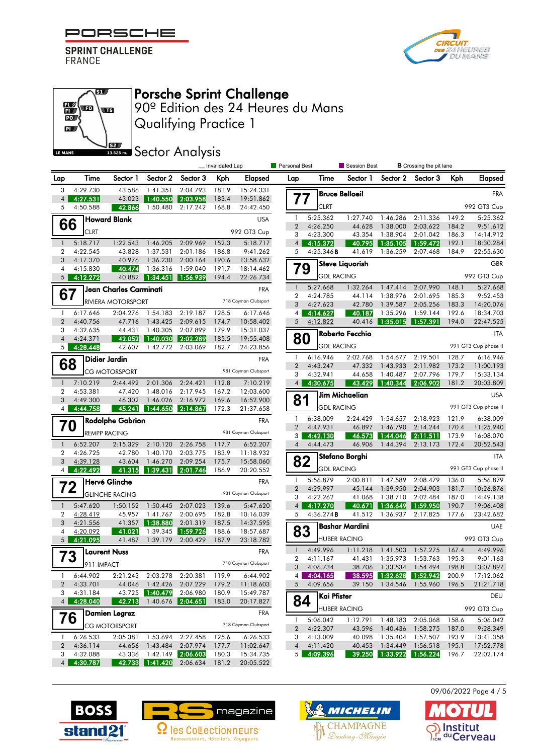



### எ  $\mathbb{E}\left($  to Œ PO<sub>J</sub>  $\mathbf{p}$ **S2** LE MANS

Porsche Sprint Challenge

Qualifying Practice 1 90º Edition des 24 Heures du Mans

**ISSECTION** Sector Analysis

|                                  |                           |                         |                            |                                | _ Invalidated Lap |                        | <b>Personal Best</b>           |                        | Session Best          |                                   | <b>B</b> Crossing the pit lane             |                |                        |
|----------------------------------|---------------------------|-------------------------|----------------------------|--------------------------------|-------------------|------------------------|--------------------------------|------------------------|-----------------------|-----------------------------------|--------------------------------------------|----------------|------------------------|
| Lap                              | Time                      | Sector 1                | Sector 2                   | Sector 3                       | Kph               | Elapsed                | Lap                            | Time                   | Sector 1              | Sector 2                          | Sector 3                                   | Kph            | <b>Elapsed</b>         |
| 3                                | 4:29.730                  | 43.586                  | 1:41.351                   | 2:04.793                       | 181.9             | 15:24.331              |                                |                        | <b>Bruce Belloeil</b> |                                   |                                            |                | <b>FRA</b>             |
| $\overline{4}$<br>5              | 4:27.531<br>4:50.588      | 43.023<br>42.866        | 1:40.550 <br>1:50.480      | 2:03.958<br>2:17.242           | 183.4<br>168.8    | 19:51.862<br>24:42.450 | 77                             | <b>CLRT</b>            |                       |                                   |                                            |                | 992 GT3 Cup            |
|                                  |                           | <b>Howard Blank</b>     |                            |                                |                   | <b>USA</b>             | -1                             | 5:25.362               | 1:27.740              | 1:46.286                          | 2:11.336                                   | 149.2          | 5:25.362               |
| 66                               |                           |                         |                            |                                |                   |                        | 2                              | 4:26.250               | 44.628                | 1:38.000                          | 2:03.622                                   | 184.2          | 9:51.612               |
|                                  | <b>CLRT</b>               |                         |                            |                                |                   | 992 GT3 Cup            | 3                              | 4:23.300               | 43.354                | 1:38.904                          | 2:01.042                                   | 186.3          | 14:14.912              |
| $\mathbf{1}$                     | 5:18.717                  | 1:22.543                | 1:46.205                   | 2:09.969                       | 152.3             | 5:18.717               | 4                              | 4:15.372               | 40.795                | 1:35.105                          | 1:59.472                                   | 192.1          | 18:30.284              |
| $\overline{2}$<br>3              | 4:22.545<br>4:17.370      | 43.828<br>40.976        | 1:37.531<br>1:36.230       | 2:01.186<br>2:00.164           | 186.8<br>190.6    | 9:41.262<br>13:58.632  | 5                              | 4:25.346B              | 41.619                | 1:36.259                          | 2:07.468                                   | 184.9          | 22:55.630              |
| 4                                | 4:15.830                  | 40.474                  | 1:36.316                   | 1:59.040                       | 191.7             | 18:14.462              | 79                             |                        | Steve Liquorish       |                                   |                                            |                | <b>GBR</b>             |
| 5 <sup>1</sup>                   | 4:12.272                  | 40.882                  | $\sqrt{1:34.451}$          | 1:56.939                       | 194.4             | 22:26.734              |                                | <b>GDL RACING</b>      |                       |                                   |                                            |                | 992 GT3 Cup            |
|                                  |                           | Jean Charles Carminati  |                            |                                |                   | <b>FRA</b>             | 1                              | 5:27.668               | 1:32.264              | 1:47.414                          | 2:07.990                                   | 148.1          | 5:27.668               |
| 67                               |                           | RIVIERA MOTORSPORT      |                            |                                |                   | 718 Cayman Clubsport   | $\overline{2}$                 | 4:24.785               | 44.114                | 1:38.976                          | 2:01.695                                   | 185.3          | 9:52.453               |
|                                  |                           |                         |                            |                                |                   |                        | 3                              | 4:27.623               | 42.780                | 1:39.587                          | 2:05.256                                   | 183.3          | 14:20.076              |
| $\mathbf{1}$<br>$\overline{2}$   | 6:17.646<br>4:40.756      | 2:04.276<br>47.716      | 1:54.183<br>1:43.425       | 2:19.187<br>2:09.615           | 128.5<br>174.7    | 6:17.646<br>10:58.402  | $\overline{4}$<br>5            | 4:14.627<br>4:12.822   | 40.187<br>40.416      | 1:35.296<br>  1:35.015   1:57.391 | 1:59.144                                   | 192.6<br>194.0 | 18:34.703<br>22:47.525 |
| 3                                | 4:32.635                  | 44.431                  | 1:40.305                   | 2:07.899                       | 179.9             | 15:31.037              |                                |                        |                       |                                   |                                            |                |                        |
| $\overline{4}$                   | 4:24.371                  | 42.052                  | 1:40.030                   | 2:02.289                       | 185.5             | 19:55.408              | 80                             |                        | Roberto Fecchio       |                                   |                                            |                | <b>ITA</b>             |
| 5 <sub>1</sub>                   | 4:28.448                  | 42.607                  | 1:42.772                   | 2:03.069                       | 182.7             | 24:23.856              |                                |                        | <b>GDL RACING</b>     |                                   |                                            |                | 991 GT3 Cup phase II   |
|                                  |                           | <b>Didier Jardin</b>    |                            |                                |                   | <b>FRA</b>             | $\mathbf{1}$                   | 6:16.946               | 2:02.768              | 1:54.677                          | 2:19.501                                   | 128.7          | 6:16.946               |
| 68                               |                           | <b>CG MOTORSPORT</b>    |                            |                                |                   | 981 Cayman Clubsport   | 2                              | 4:43.247               | 47.332                | 1:43.933                          | 2:11.982                                   | 173.2          | 11:00.193              |
|                                  |                           |                         |                            |                                |                   |                        | 3                              | 4:32.941               | 44.658                | 1:40.487                          | 2:07.796                                   | 179.7          | 15:33.134              |
| $\overline{1}$<br>$\overline{2}$ | 7:10.219<br>4:53.381      | 2:44.492<br>47.420      | 2:01.306<br>1:48.016       | 2:24.421<br>2:17.945           | 112.8<br>167.2    | 7:10.219<br>12:03.600  | 4 <sup>1</sup>                 | 4:30.675               | 43.429                | 1:40.344                          | 2:06.902                                   | 181.2          | 20:03.809              |
| 3                                | 4:49.300                  | 46.302                  | 1:46.026                   | 2:16.972                       | 169.6             | 16:52.900              | 81                             |                        | <b>Jim Michaelian</b> |                                   |                                            |                | <b>USA</b>             |
| 4 <sup>1</sup>                   | 4:44.758                  | 45.241                  | 1:44.650                   | 2:14.867                       | 172.3             | 21:37.658              |                                | <b>GDL RACING</b>      |                       |                                   |                                            |                | 991 GT3 Cup phase II   |
|                                  |                           | <b>Rodolphe Gabrion</b> |                            |                                |                   | <b>FRA</b>             | 1                              | 6:38.009               | 2:24.429              | 1:54.657                          | 2:18.923                                   | 121.9          | 6:38.009               |
| 70                               |                           | <b>REMPP RACING</b>     |                            |                                |                   | 981 Cayman Clubsport   | $\overline{2}$                 | 4:47.931               | 46.897                | 1:46.790                          | 2:14.244                                   | 170.4          | 11:25.940              |
| $\mathbf{1}$                     | 6:52.207                  | 2:15.329                | 2:10.120                   |                                |                   |                        | 3 <sup>1</sup>                 | 4:42.130<br>4:44.473   | 46.573<br>46.906      | 1:44.046                          | 2:11.511                                   | 173.9          | 16:08.070              |
| $\overline{2}$                   | 4:26.725                  | 42.780                  | 1:40.170                   | 2:26.758<br>2:03.775           | 117.7<br>183.9    | 6:52.207<br>11:18.932  | 4                              |                        |                       | 1:44.394                          | 2:13.173                                   | 172.4          | 20:52.543              |
| 3                                | 4:39.128                  | 43.604                  | 1:46.270                   | 2:09.254                       | 175.7             | 15:58.060              | 82                             |                        | Stefano Borghi        |                                   |                                            |                | <b>ITA</b>             |
| $\overline{4}$                   | 4:22.492                  | 41.315                  | 1:39.431                   | 2:01.746                       | 186.9             | 20:20.552              |                                |                        | <b>GDL RACING</b>     |                                   |                                            |                | 991 GT3 Cup phase II   |
|                                  |                           | Hervé Glinche           |                            |                                |                   | <b>FRA</b>             | -1                             | 5:56.879               | 2:00.811              | 1:47.589                          | 2:08.479                                   | 136.0          | 5:56.879               |
| 72                               |                           | <b>GLINCHE RACING</b>   |                            |                                |                   | 981 Cayman Clubsport   | 2                              | 4:29.997               | 45.144                | 1:39.950                          | 2:04.903                                   | 181.7          | 10:26.876              |
| $\overline{1}$                   | 5:47.620                  | 1:50.152                | 1:50.445                   | 2:07.023                       | 139.6             | 5:47.620               | 3<br>4 <sup>1</sup>            | 4:22.262<br>4:17.270   | 41.068<br>40.671      | 1:38.710<br>  1:36.649            | 2:02.484<br>  1:59.950                     | 187.0<br>190.7 | 14:49.138<br>19:06.408 |
| $\overline{2}$                   | 4:28.419                  | 45.957                  | 1:41.767                   | 2:00.695                       | 182.8             | 10:16.039              | 5                              | 4:36.274B              | 41.512                | 1:36.937                          | 2:17.825                                   | 177.6          | 23:42.682              |
| 3                                | 4:21.556                  | 41.357                  | 1:38.880                   | 2:01.319                       | 187.5             | 14:37.595              |                                |                        | <b>Bashar Mardini</b> |                                   |                                            |                | UAE                    |
| $\overline{4}$                   | 4:20.092                  | 41.021                  | 1:39.345                   | 1:59.726                       | 188.6             | 18:57.687              | 83                             |                        |                       |                                   |                                            |                |                        |
| 5 <sup>1</sup>                   | 4:21.095                  | 41.487                  | 1:39.179                   | 2:00.429                       | 187.9             | 23:18.782              |                                |                        | <b>HUBER RACING</b>   |                                   |                                            |                | 992 GT3 Cup            |
| 73                               |                           | <b>Laurent Nuss</b>     |                            |                                |                   | <b>FRA</b>             | $\mathbf{1}$                   | 4:49.996               | 1:11.218              | 1:41.503                          | 1:57.275                                   | 167.4          | 4:49.996               |
|                                  | $\blacksquare$ 911 IMPACT |                         |                            |                                |                   | 718 Cayman Clubsport   | $\overline{2}$                 | 4:11.167<br>3 4:06.734 |                       | 41.431 1:35.973                   | 1:53.763<br>38.706 1:33.534 1:54.494 198.8 | 195.3          | 9:01.163<br>13:07.897  |
| $\mathbf{1}$                     | 6:44.902                  |                         | 2:21.243 2:03.278 2:20.381 |                                | 119.9             | 6:44.902               |                                | 4 4:04.165             |                       |                                   |                                            | 200.9          | 17:12.062              |
| $\overline{2}$                   | 4:33.701                  | 44.046                  | 1:42.426                   | 2:07.229                       | 179.2             | 11:18.603              | 5                              | 4:09.656               | 39.150                | 1:34.546                          | 1:55.960                                   | 196.5          | 21:21.718              |
|                                  | 3 4:31.184                | 43.725                  | 1:40.479                   | 2:06.980                       | 180.9             | 15:49.787              |                                | <b>Kai Pfister</b>     |                       |                                   |                                            |                | DEU                    |
|                                  | 4 4:28.040                | 42.713                  | 1:40.676                   | 2:04.651                       | 183.0             | 20:17.827              | 84                             |                        |                       |                                   |                                            |                |                        |
| 76                               |                           | <b>Damien Legrez</b>    |                            |                                |                   | FRA                    |                                |                        | <b>HUBER RACING</b>   |                                   |                                            |                | 992 GT3 Cup            |
|                                  |                           | <b>CG MOTORSPORT</b>    |                            |                                |                   | 718 Cayman Clubsport   | $\mathbf{1}$<br>$\overline{2}$ | 5:06.042<br>4:22.307   | 43.596                | 1:40.436                          | 1:12.791  1:48.183  2:05.068<br>1:58.275   | 158.6<br>187.0 | 5:06.042<br>9:28.349   |
| $\mathbf{1}$                     | 6:26.533                  | 2:05.381                | 1:53.694                   | 2:27.458                       | 125.6             | 6:26.533               | 3                              | 4:13.009               | 40.098                | 1:35.404                          | 1:57.507                                   | 193.9          | 13:41.358              |
| $\overline{2}$                   | 4:36.114                  | 44.656                  | 1:43.484                   | 2:07.974                       | 177.7             | 11:02.647              | $\overline{4}$                 | 4:11.420               | 40.453                | 1:34.449                          | 1:56.518                                   | 195.1          | 17:52.778              |
| 3                                | 4:32.088                  | 43.336                  | 1:42.149 2:06.603          |                                | 180.3             | 15:34.735              | 5 <sub>1</sub>                 | 4:09.396               | 39.250                | 1:33.922                          | 1:56.224                                   | 196.7          | 22:02.174              |
|                                  | 4 4:30.787                |                         |                            | 42.733 1:41.420 2:06.634 181.2 |                   | 20:05.522              |                                |                        |                       |                                   |                                            |                |                        |